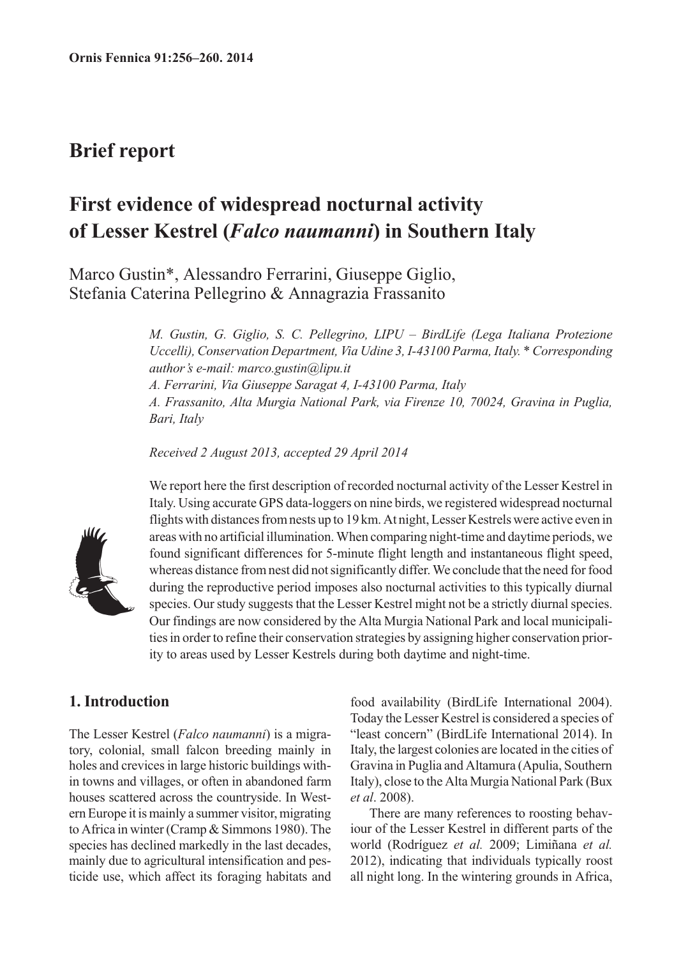## **Brief report**

# **First evidence of widespread nocturnal activity of Lesser Kestrel (***Falco naumanni***) in Southern Italy**

Marco Gustin\*, Alessandro Ferrarini, Giuseppe Giglio, Stefania Caterina Pellegrino & Annagrazia Frassanito

> *M. Gustin, G. Giglio, S. C. Pellegrino, LIPU – BirdLife (Lega Italiana Protezione Uccelli), Conservation Department, Via Udine 3, I-43100 Parma, Italy. \* Corresponding author's e-mail: marco.gustin@lipu.it A. Ferrarini, Via Giuseppe Saragat 4, I-43100 Parma, Italy A. Frassanito, Alta Murgia National Park, via Firenze 10, 70024, Gravina in Puglia, Bari, Italy*

*Received 2 August 2013, accepted 29 April 2014*



We report here the first description of recorded nocturnal activity of the Lesser Kestrel in Italy. Using accurate GPS data-loggers on nine birds, we registered widespread nocturnal flights with distances from nests up to 19 km. At night, Lesser Kestrels were active even in areas with no artificial illumination. When comparing night-time and daytime periods, we found significant differences for 5-minute flight length and instantaneous flight speed, whereas distance from nest did not significantly differ. We conclude that the need for food during the reproductive period imposes also nocturnal activities to this typically diurnal species. Our study suggests that the Lesser Kestrel might not be a strictly diurnal species. Our findings are now considered by the Alta Murgia National Park and local municipalities in order to refine their conservation strategies by assigning higher conservation priority to areas used by Lesser Kestrels during both daytime and night-time.

### **1. Introduction**

The Lesser Kestrel (*Falco naumanni*) is a migratory, colonial, small falcon breeding mainly in holes and crevices in large historic buildings within towns and villages, or often in abandoned farm houses scattered across the countryside. In Western Europe it is mainly a summer visitor, migrating to Africa in winter (Cramp & Simmons 1980). The species has declined markedly in the last decades, mainly due to agricultural intensification and pesticide use, which affect its foraging habitats and food availability (BirdLife International 2004). Today the Lesser Kestrel is considered a species of "least concern" (BirdLife International 2014). In Italy, the largest colonies are located in the cities of Gravina in Puglia and Altamura (Apulia, Southern Italy), close to the Alta Murgia National Park (Bux *et al*. 2008).

There are many references to roosting behaviour of the Lesser Kestrel in different parts of the world (Rodríguez *et al.* 2009; Limiñana *et al.* 2012), indicating that individuals typically roost all night long. In the wintering grounds in Africa,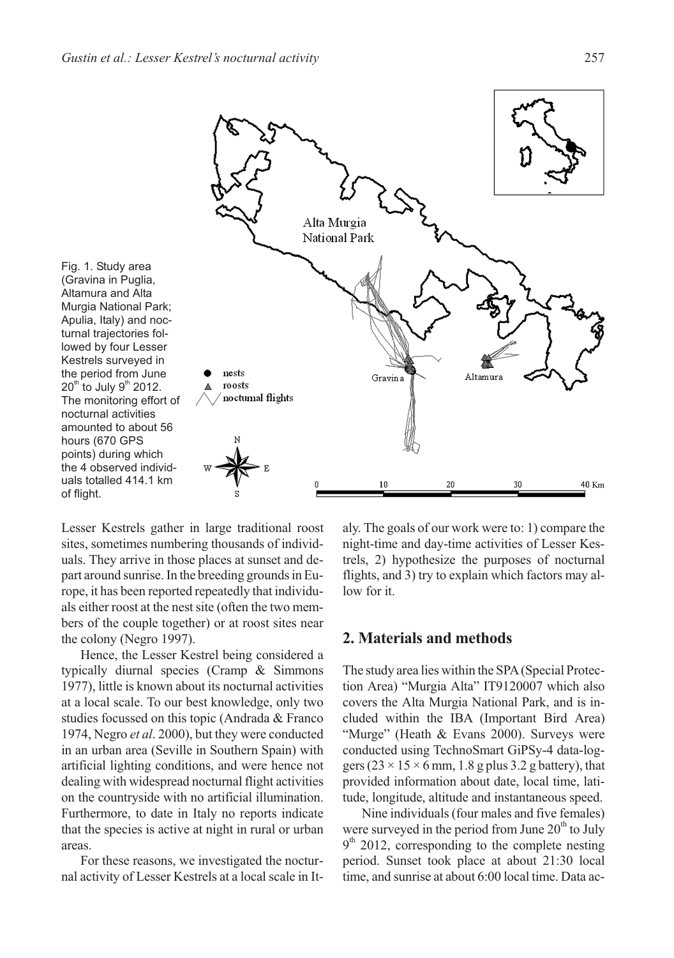

Lesser Kestrels gather in large traditional roost sites, sometimes numbering thousands of individuals. They arrive in those places at sunset and depart around sunrise. In the breeding grounds in Europe, it has been reported repeatedly that individuals either roost at the nest site (often the two members of the couple together) or at roost sites near the colony (Negro 1997).

Hence, the Lesser Kestrel being considered a typically diurnal species (Cramp & Simmons 1977), little is known about its nocturnal activities at a local scale. To our best knowledge, only two studies focussed on this topic (Andrada & Franco 1974, Negro *et al*. 2000), but they were conducted in an urban area (Seville in Southern Spain) with artificial lighting conditions, and were hence not dealing with widespread nocturnal flight activities on the countryside with no artificial illumination. Furthermore, to date in Italy no reports indicate that the species is active at night in rural or urban areas.

For these reasons, we investigated the nocturnal activity of Lesser Kestrels at a local scale in Italy. The goals of our work were to: 1) compare the night-time and day-time activities of Lesser Kestrels, 2) hypothesize the purposes of nocturnal flights, and 3) try to explain which factors may allow for it.

#### **2. Materials and methods**

The study area lies within the SPA(Special Protection Area) "Murgia Alta" IT9120007 which also covers the Alta Murgia National Park, and is included within the IBA (Important Bird Area) "Murge" (Heath & Evans 2000). Surveys were conducted using TechnoSmart GiPSy-4 data-loggers ( $23 \times 15 \times 6$  mm, 1.8 g plus 3.2 g battery), that provided information about date, local time, latitude, longitude, altitude and instantaneous speed.

Nine individuals (four males and five females) were surveyed in the period from June  $20<sup>th</sup>$  to July  $9<sup>th</sup>$  2012, corresponding to the complete nesting period. Sunset took place at about 21:30 local time, and sunrise at about 6:00 local time. Data ac-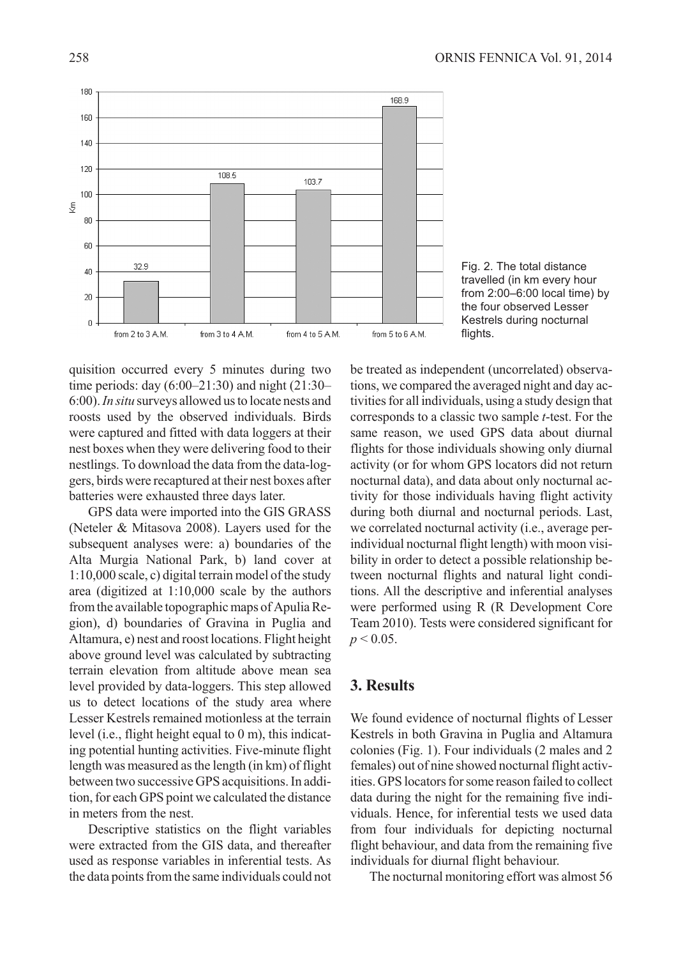

Fig. 2. The total distance travelled (in km every hour from 2:00–6:00 local time) by the four observed Lesser Kestrels during nocturnal flights.

quisition occurred every 5 minutes during two time periods: day (6:00–21:30) and night (21:30– 6:00).*In situ* surveys allowed us to locate nests and roosts used by the observed individuals. Birds were captured and fitted with data loggers at their nest boxes when they were delivering food to their nestlings. To download the data from the data-loggers, birds were recaptured at their nest boxes after batteries were exhausted three days later.

GPS data were imported into the GIS GRASS (Neteler & Mitasova 2008). Layers used for the subsequent analyses were: a) boundaries of the Alta Murgia National Park, b) land cover at 1:10,000 scale, c) digital terrain model of the study area (digitized at 1:10,000 scale by the authors from the available topographic maps of Apulia Region), d) boundaries of Gravina in Puglia and Altamura, e) nest and roost locations. Flight height above ground level was calculated by subtracting terrain elevation from altitude above mean sea level provided by data-loggers. This step allowed us to detect locations of the study area where Lesser Kestrels remained motionless at the terrain level (i.e., flight height equal to 0 m), this indicating potential hunting activities. Five-minute flight length was measured as the length (in km) of flight between two successive GPS acquisitions. In addition, for each GPS point we calculated the distance in meters from the nest.

Descriptive statistics on the flight variables were extracted from the GIS data, and thereafter used as response variables in inferential tests. As the data points from the same individuals could not

be treated as independent (uncorrelated) observations, we compared the averaged night and day activities for all individuals, using a study design that corresponds to a classic two sample *t*-test. For the same reason, we used GPS data about diurnal flights for those individuals showing only diurnal activity (or for whom GPS locators did not return nocturnal data), and data about only nocturnal activity for those individuals having flight activity during both diurnal and nocturnal periods. Last, we correlated nocturnal activity (i.e., average perindividual nocturnal flight length) with moon visibility in order to detect a possible relationship between nocturnal flights and natural light conditions. All the descriptive and inferential analyses were performed using R (R Development Core Team 2010). Tests were considered significant for  $p < 0.05$ .

#### **3. Results**

We found evidence of nocturnal flights of Lesser Kestrels in both Gravina in Puglia and Altamura colonies (Fig. 1). Four individuals (2 males and 2 females) out of nine showed nocturnal flight activities. GPS locators for some reason failed to collect data during the night for the remaining five individuals. Hence, for inferential tests we used data from four individuals for depicting nocturnal flight behaviour, and data from the remaining five individuals for diurnal flight behaviour.

The nocturnal monitoring effort was almost 56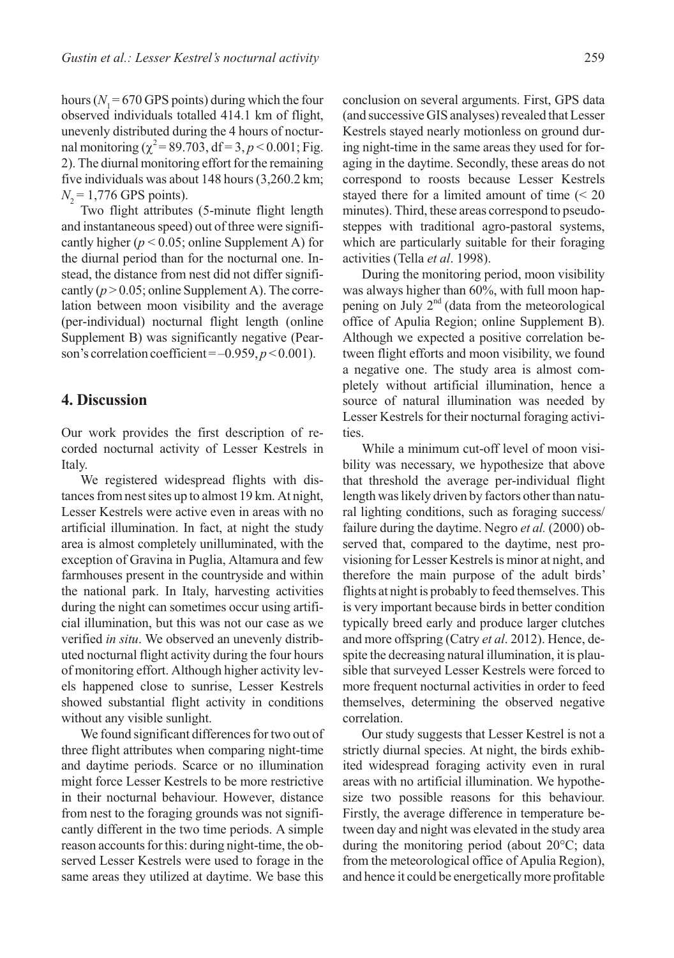hours ( $N_1$  = 670 GPS points) during which the four observed individuals totalled 414.1 km of flight, unevenly distributed during the 4 hours of nocturnal monitoring ( $\chi^2$  = 89.703, df = 3, *p* < 0.001; Fig. 2). The diurnal monitoring effort for the remaining five individuals was about 148 hours (3,260.2 km;  $N<sub>2</sub> = 1,776$  GPS points).

Two flight attributes (5-minute flight length and instantaneous speed) out of three were significantly higher ( $p < 0.05$ ; online Supplement A) for the diurnal period than for the nocturnal one. Instead, the distance from nest did not differ significantly  $(p > 0.05$ ; online Supplement A). The correlation between moon visibility and the average (per-individual) nocturnal flight length (online Supplement B) was significantly negative (Pearson's correlation coefficient = –0.959, *p* < 0.001).

#### **4. Discussion**

Our work provides the first description of recorded nocturnal activity of Lesser Kestrels in Italy.

We registered widespread flights with distances from nest sites up to almost 19 km. At night, Lesser Kestrels were active even in areas with no artificial illumination. In fact, at night the study area is almost completely unilluminated, with the exception of Gravina in Puglia, Altamura and few farmhouses present in the countryside and within the national park. In Italy, harvesting activities during the night can sometimes occur using artificial illumination, but this was not our case as we verified *in situ*. We observed an unevenly distributed nocturnal flight activity during the four hours of monitoring effort. Although higher activity levels happened close to sunrise, Lesser Kestrels showed substantial flight activity in conditions without any visible sunlight.

We found significant differences for two out of three flight attributes when comparing night-time and daytime periods. Scarce or no illumination might force Lesser Kestrels to be more restrictive in their nocturnal behaviour. However, distance from nest to the foraging grounds was not significantly different in the two time periods. A simple reason accounts for this: during night-time, the observed Lesser Kestrels were used to forage in the same areas they utilized at daytime. We base this

conclusion on several arguments. First, GPS data (and successive GIS analyses) revealed that Lesser Kestrels stayed nearly motionless on ground during night-time in the same areas they used for foraging in the daytime. Secondly, these areas do not correspond to roosts because Lesser Kestrels stayed there for a limited amount of time (< 20 minutes). Third, these areas correspond to pseudosteppes with traditional agro-pastoral systems, which are particularly suitable for their foraging activities (Tella *et al*. 1998).

During the monitoring period, moon visibility was always higher than 60%, with full moon happening on July  $2<sup>nd</sup>$  (data from the meteorological office of Apulia Region; online Supplement B). Although we expected a positive correlation between flight efforts and moon visibility, we found a negative one. The study area is almost completely without artificial illumination, hence a source of natural illumination was needed by Lesser Kestrels for their nocturnal foraging activities.

While a minimum cut-off level of moon visibility was necessary, we hypothesize that above that threshold the average per-individual flight length was likely driven by factors other than natural lighting conditions, such as foraging success/ failure during the daytime. Negro *et al.* (2000) observed that, compared to the daytime, nest provisioning for Lesser Kestrels is minor at night, and therefore the main purpose of the adult birds' flights at night is probably to feed themselves. This is very important because birds in better condition typically breed early and produce larger clutches and more offspring (Catry *et al*. 2012). Hence, despite the decreasing natural illumination, it is plausible that surveyed Lesser Kestrels were forced to more frequent nocturnal activities in order to feed themselves, determining the observed negative correlation.

Our study suggests that Lesser Kestrel is not a strictly diurnal species. At night, the birds exhibited widespread foraging activity even in rural areas with no artificial illumination. We hypothesize two possible reasons for this behaviour. Firstly, the average difference in temperature between day and night was elevated in the study area during the monitoring period (about 20°C; data from the meteorological office of Apulia Region), and hence it could be energetically more profitable